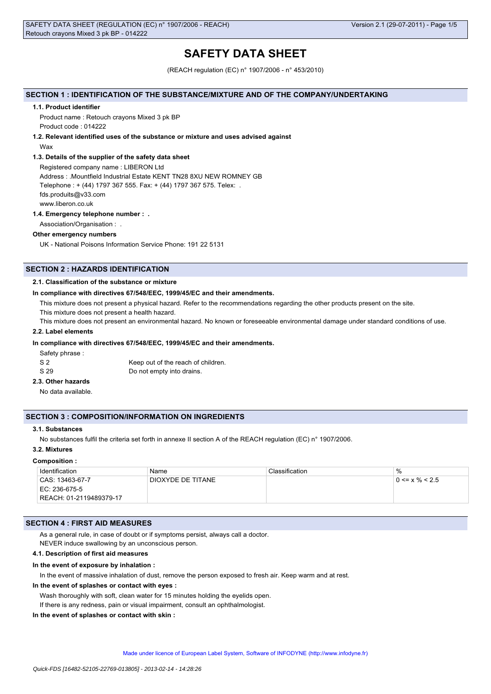# **SAFETY DATA SHEET**

(REACH regulation (EC) n° 1907/2006 - n° 453/2010)

# **SECTION 1 : IDENTIFICATION OF THE SUBSTANCE/MIXTURE AND OF THE COMPANY/UNDERTAKING**

#### **1.1. Product identifier**

Product name : Retouch crayons Mixed 3 pk BP Product code : 014222

#### **1.2. Relevant identified uses of the substance or mixture and uses advised against**

Wax

#### **1.3. Details of the supplier of the safety data sheet**

Registered company name : LIBERON Ltd Address : .Mountfield Industrial Estate KENT TN28 8XU NEW ROMNEY GB Telephone : + (44) 1797 367 555. Fax: + (44) 1797 367 575. Telex: . fds.produits@v33.com www.liberon.co.uk

#### **1.4. Emergency telephone number : .**

Association/Organisation : .

# **Other emergency numbers**

UK - National Poisons Information Service Phone: 191 22 5131

# **SECTION 2 : HAZARDS IDENTIFICATION**

#### **2.1. Classification of the substance or mixture**

#### **In compliance with directives 67/548/EEC, 1999/45/EC and their amendments.**

This mixture does not present a physical hazard. Refer to the recommendations regarding the other products present on the site.

This mixture does not present a health hazard.

This mixture does not present an environmental hazard. No known or foreseeable environmental damage under standard conditions of use.

### **2.2. Label elements**

### **In compliance with directives 67/548/EEC, 1999/45/EC and their amendments.**

Safety phrase :

| S 2  | Keep out of the reach of children. |
|------|------------------------------------|
| S 29 | Do not empty into drains.          |

### **2.3. Other hazards**

No data available.

# **SECTION 3 : COMPOSITION/INFORMATION ON INGREDIENTS**

#### **3.1. Substances**

No substances fulfil the criteria set forth in annexe II section A of the REACH regulation (EC) n° 1907/2006.

#### **3.2. Mixtures**

#### **Composition :**

| Identification          | Name              | Classification | ℅                    |
|-------------------------|-------------------|----------------|----------------------|
| CAS: 13463-67-7         | DIOXYDE DE TITANE |                | $0 \le x \% \le 2.5$ |
| EC: 236-675-5           |                   |                |                      |
| REACH: 01-2119489379-17 |                   |                |                      |

### **SECTION 4 : FIRST AID MEASURES**

As a general rule, in case of doubt or if symptoms persist, always call a doctor.

NEVER induce swallowing by an unconscious person.

# **4.1. Description of first aid measures**

#### **In the event of exposure by inhalation :**

In the event of massive inhalation of dust, remove the person exposed to fresh air. Keep warm and at rest.

#### **In the event of splashes or contact with eyes :**

Wash thoroughly with soft, clean water for 15 minutes holding the eyelids open. If there is any redness, pain or visual impairment, consult an ophthalmologist.

#### **In the event of splashes or contact with skin :**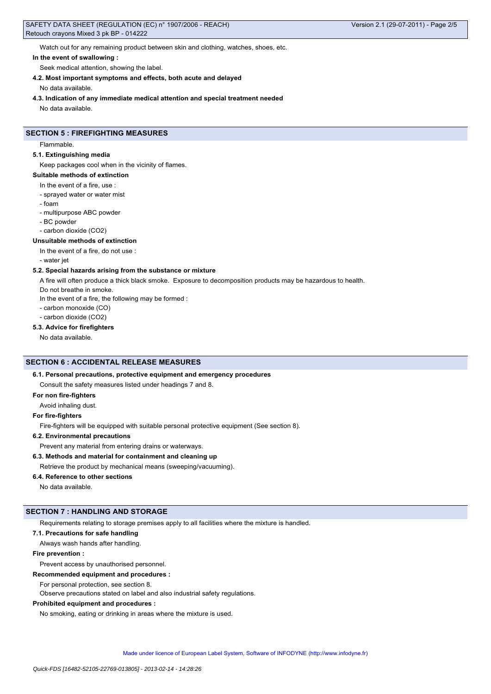Watch out for any remaining product between skin and clothing, watches, shoes, etc.

#### **In the event of swallowing :**

Seek medical attention, showing the label.

# **4.2. Most important symptoms and effects, both acute and delayed**

No data available.

**4.3. Indication of any immediate medical attention and special treatment needed**

No data available.

# **SECTION 5 : FIREFIGHTING MEASURES**

Flammable.

#### **5.1. Extinguishing media**

Keep packages cool when in the vicinity of flames.

# **Suitable methods of extinction**

- In the event of a fire, use :
- sprayed water or water mist
- foam
- multipurpose ABC powder
- BC powder
- carbon dioxide (CO2)

#### **Unsuitable methods of extinction**

In the event of a fire, do not use :

- water jet

### **5.2. Special hazards arising from the substance or mixture**

A fire will often produce a thick black smoke. Exposure to decomposition products may be hazardous to health.

Do not breathe in smoke.

In the event of a fire, the following may be formed :

- carbon monoxide (CO)
- carbon dioxide (CO2)

#### **5.3. Advice for firefighters**

No data available.

# **SECTION 6 : ACCIDENTAL RELEASE MEASURES**

# **6.1. Personal precautions, protective equipment and emergency procedures**

Consult the safety measures listed under headings 7 and 8.

# **For non fire-fighters**

Avoid inhaling dust.

#### **For fire-fighters**

Fire-fighters will be equipped with suitable personal protective equipment (See section 8).

#### **6.2. Environmental precautions**

Prevent any material from entering drains or waterways.

# **6.3. Methods and material for containment and cleaning up**

Retrieve the product by mechanical means (sweeping/vacuuming).

#### **6.4. Reference to other sections**

No data available.

# **SECTION 7 : HANDLING AND STORAGE**

Requirements relating to storage premises apply to all facilities where the mixture is handled.

#### **7.1. Precautions for safe handling**

Always wash hands after handling.

#### **Fire prevention :**

# Prevent access by unauthorised personnel.

**Recommended equipment and procedures :**

For personal protection, see section 8.

Observe precautions stated on label and also industrial safety regulations.

### **Prohibited equipment and procedures :**

No smoking, eating or drinking in areas where the mixture is used.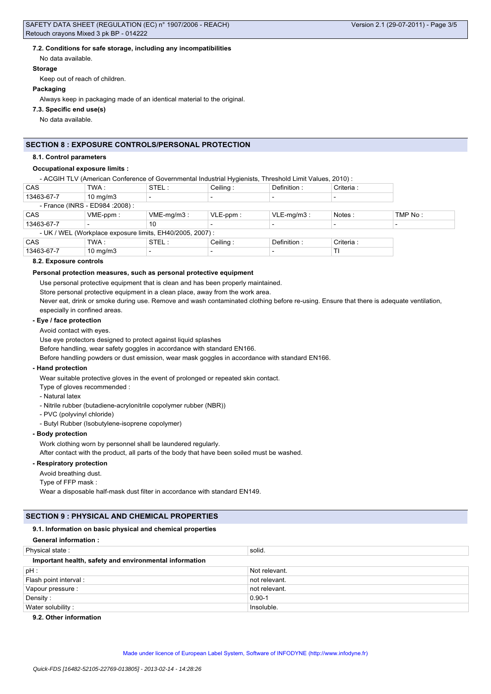# **7.2. Conditions for safe storage, including any incompatibilities**

No data available.

#### **Storage**

Keep out of reach of children.

#### **Packaging**

Always keep in packaging made of an identical material to the original.

### **7.3. Specific end use(s)**

No data available.

# **SECTION 8 : EXPOSURE CONTROLS/PERSONAL PROTECTION**

#### **8.1. Control parameters**

### **Occupational exposure limits :**

- ACGIH TLV (American Conference of Governmental Industrial Hygienists, Threshold Limit Values, 2010) :

| CAS                                                       | TWA :                            | STEL:         | Ceiling:    | Definition:              | Criteria : |         |
|-----------------------------------------------------------|----------------------------------|---------------|-------------|--------------------------|------------|---------|
| 13463-67-7                                                | $10 \text{ mg/m}$                |               |             |                          |            |         |
|                                                           | - France (INRS - ED984 : 2008) : |               |             |                          |            |         |
| CAS                                                       | $VME-ppm$ :                      | $VME-mq/m3$ : | $VLE-ppm$ : | $VLE-mq/m3$ :            | Notes:     | TMP No: |
| 13463-67-7                                                |                                  | 10            |             |                          |            |         |
| - UK / WEL (Workplace exposure limits, EH40/2005, 2007) : |                                  |               |             |                          |            |         |
| CAS                                                       | TWA :                            | STEL:         | Ceiling:    | Definition:              | Criteria : |         |
| 13463-67-7                                                | $10$ mg/m $3$                    |               |             | $\overline{\phantom{0}}$ | TI         |         |

### **8.2. Exposure controls**

#### **Personal protection measures, such as personal protective equipment**

Use personal protective equipment that is clean and has been properly maintained.

Store personal protective equipment in a clean place, away from the work area.

Never eat, drink or smoke during use. Remove and wash contaminated clothing before re-using. Ensure that there is adequate ventilation, especially in confined areas.

### **- Eye / face protection**

#### Avoid contact with eyes.

Use eye protectors designed to protect against liquid splashes

Before handling, wear safety goggles in accordance with standard EN166.

Before handling powders or dust emission, wear mask goggles in accordance with standard EN166.

# **- Hand protection**

Wear suitable protective gloves in the event of prolonged or repeated skin contact.

Type of gloves recommended :

- Natural latex
- Nitrile rubber (butadiene-acrylonitrile copolymer rubber (NBR))
- PVC (polyvinyl chloride)
- Butyl Rubber (Isobutylene-isoprene copolymer)

### **- Body protection**

Work clothing worn by personnel shall be laundered regularly.

After contact with the product, all parts of the body that have been soiled must be washed.

# **- Respiratory protection**

Avoid breathing dust.

Type of FFP mask :

Wear a disposable half-mask dust filter in accordance with standard EN149.

# **SECTION 9 : PHYSICAL AND CHEMICAL PROPERTIES**

#### **9.1. Information on basic physical and chemical properties**

# **General information :**

| Physical state:                                        | solid.        |  |  |
|--------------------------------------------------------|---------------|--|--|
| Important health, safety and environmental information |               |  |  |
| $pH$ :                                                 | Not relevant. |  |  |
| Flash point interval:                                  | not relevant. |  |  |
| Vapour pressure :                                      | not relevant. |  |  |
| Density:                                               | $0.90 - 1$    |  |  |
| Water solubility:                                      | Insoluble.    |  |  |

# **9.2. Other information**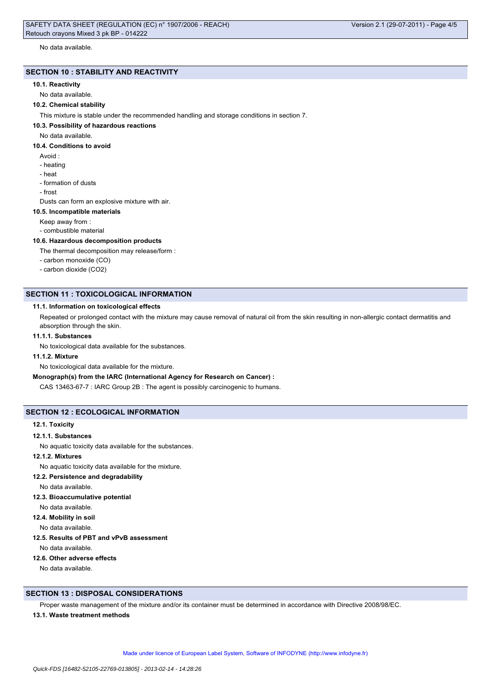No data available.

# **SECTION 10 : STABILITY AND REACTIVITY**

#### **10.1. Reactivity**

No data available.

# **10.2. Chemical stability**

This mixture is stable under the recommended handling and storage conditions in section 7.

#### **10.3. Possibility of hazardous reactions**

No data available.

#### **10.4. Conditions to avoid**

- Avoid :
- heating
- heat
- formation of dusts
- frost

Dusts can form an explosive mixture with air.

#### **10.5. Incompatible materials**

Keep away from :

- combustible material

#### **10.6. Hazardous decomposition products**

The thermal decomposition may release/form :

- carbon monoxide (CO)
- carbon dioxide (CO2)

### **SECTION 11 : TOXICOLOGICAL INFORMATION**

#### **11.1. Information on toxicological effects**

Repeated or prolonged contact with the mixture may cause removal of natural oil from the skin resulting in non-allergic contact dermatitis and absorption through the skin.

### **11.1.1. Substances**

No toxicological data available for the substances.

# **11.1.2. Mixture**

No toxicological data available for the mixture.

# **Monograph(s) from the IARC (International Agency for Research on Cancer) :**

CAS 13463-67-7 : IARC Group 2B : The agent is possibly carcinogenic to humans.

# **SECTION 12 : ECOLOGICAL INFORMATION**

#### **12.1. Toxicity**

#### **12.1.1. Substances**

No aquatic toxicity data available for the substances.

# **12.1.2. Mixtures**

No aquatic toxicity data available for the mixture.

**12.2. Persistence and degradability**

No data available.

- **12.3. Bioaccumulative potential**
- No data available.

**12.4. Mobility in soil**

No data available.

**12.5. Results of PBT and vPvB assessment**

No data available.

### **12.6. Other adverse effects**

No data available.

# **SECTION 13 : DISPOSAL CONSIDERATIONS**

Proper waste management of the mixture and/or its container must be determined in accordance with Directive 2008/98/EC.

#### **13.1. Waste treatment methods**